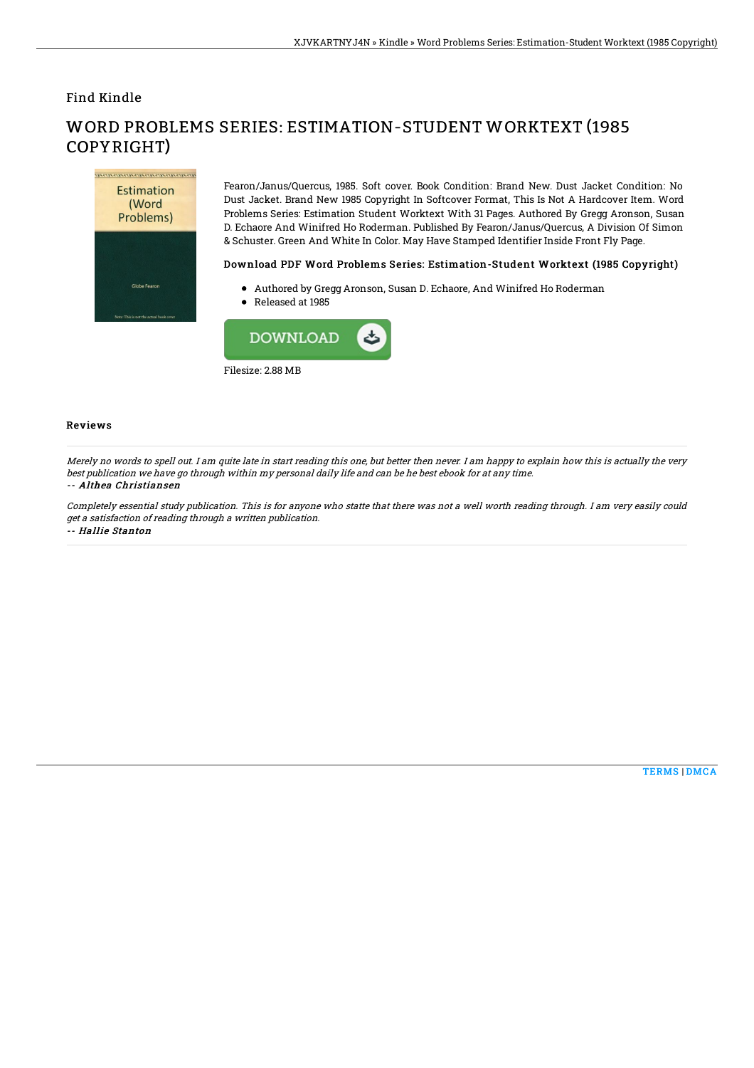### Find Kindle



# WORD PROBLEMS SERIES: ESTIMATION-STUDENT WORKTEXT (1985 COPYRIGHT)

Fearon/Janus/Quercus, 1985. Soft cover. Book Condition: Brand New. Dust Jacket Condition: No Dust Jacket. Brand New 1985 Copyright In Softcover Format, This Is Not A Hardcover Item. Word Problems Series: Estimation Student Worktext With 31 Pages. Authored By Gregg Aronson, Susan D. Echaore And Winifred Ho Roderman. Published By Fearon/Janus/Quercus, A Division Of Simon & Schuster. Green And White In Color. May Have Stamped Identifier Inside Front Fly Page.

#### Download PDF Word Problems Series: Estimation-Student Worktext (1985 Copyright)

- Authored by Gregg Aronson, Susan D. Echaore, And Winifred Ho Roderman
- Released at 1985



### Reviews

Merely no words to spell out. I am quite late in start reading this one, but better then never. I am happy to explain how this is actually the very best publication we have go through within my personal daily life and can be he best ebook for at any time.

#### -- Althea Christiansen

Completely essential study publication. This is for anyone who statte that there was not <sup>a</sup> well worth reading through. I am very easily could get <sup>a</sup> satisfaction of reading through <sup>a</sup> written publication.

-- Hallie Stanton